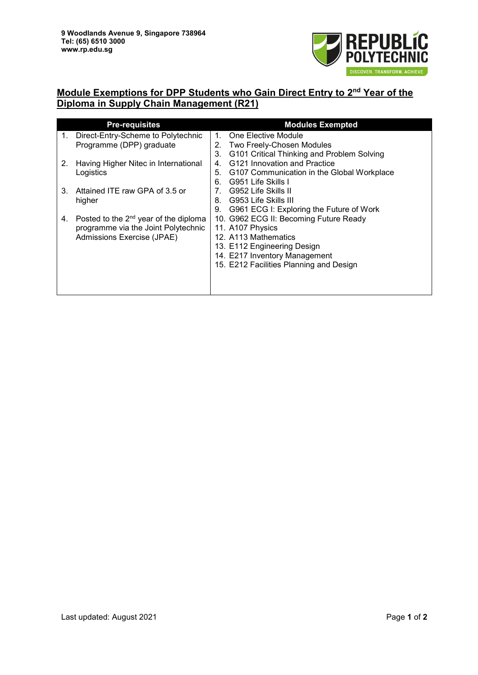

## **Module Exemptions for DPP Students who Gain Direct Entry to 2nd Year of the Diploma in Supply Chain Management (R21)**

| <b>Pre-requisites</b> |                                                                                          | <b>Modules Exempted</b>        |                                            |  |
|-----------------------|------------------------------------------------------------------------------------------|--------------------------------|--------------------------------------------|--|
| 1.                    | Direct-Entry-Scheme to Polytechnic                                                       | $1_{-}$                        | One Elective Module                        |  |
|                       | Programme (DPP) graduate                                                                 | 2.                             | Two Freely-Chosen Modules                  |  |
|                       |                                                                                          | 3.                             | G101 Critical Thinking and Problem Solving |  |
| 2.                    | Having Higher Nitec in International                                                     | 4 <sup>1</sup>                 | G121 Innovation and Practice               |  |
|                       | Logistics                                                                                | 5.                             | G107 Communication in the Global Workplace |  |
|                       |                                                                                          | 6.                             | G951 Life Skills I                         |  |
| 3.                    | Attained ITE raw GPA of 3.5 or                                                           | $7_{\scriptscriptstyle{\sim}}$ | G952 Life Skills II                        |  |
|                       | higher                                                                                   | 8.                             | G953 Life Skills III                       |  |
|                       |                                                                                          | 9.                             | G961 ECG I: Exploring the Future of Work   |  |
| 4.                    | Posted to the 2 <sup>nd</sup> year of the diploma<br>programme via the Joint Polytechnic |                                | 10. G962 ECG II: Becoming Future Ready     |  |
|                       |                                                                                          |                                | 11. A107 Physics                           |  |
|                       | Admissions Exercise (JPAE)                                                               |                                | 12. A113 Mathematics                       |  |
|                       |                                                                                          |                                | 13. E112 Engineering Design                |  |
|                       |                                                                                          |                                | 14. E217 Inventory Management              |  |
|                       |                                                                                          |                                | 15. E212 Facilities Planning and Design    |  |
|                       |                                                                                          |                                |                                            |  |
|                       |                                                                                          |                                |                                            |  |
|                       |                                                                                          |                                |                                            |  |